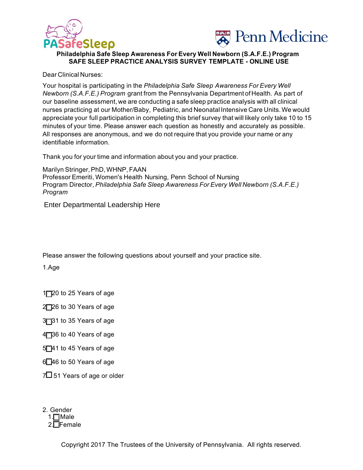



## **Philadelphia Safe Sleep Awareness For Every Well Newborn (S.A.F.E.) Program SAFE SLEEP PRACTICE ANALYSIS SURVEY TEMPLATE - ONLINE USE**

Dear Clinical Nurses:

Your hospital is participating in the *Philadelphia Safe Sleep Awareness For Every Well Newborn (S.A.F.E.) Program* grant from the Pennsylvania Department of Health. As part of our baseline assessment, we are conducting a safe sleep practice analysis with all clinical nurses practicing at our Mother/Baby, Pediatric, and Neonatal Intensive Care Units.We would appreciate your full participation in completing this brief survey that will likely only take 10 to 15 minutes of your time. Please answer each question as honestly and accurately as possible. All responses are anonymous, and we do not require that you provide your name or any identifiable information.

Thank you for your time and information about you and your practice.

Marilyn Stringer, PhD, WHNP, FAAN Professor Emeriti, Women's Health Nursing, Penn School of Nursing Program Director, *Philadelphia Safe Sleep Awareness For Every Well Newborn (S.A.F.E.) Program* 

Please answer the following questions about yourself and your practice site. Enter Departmental Leadership Here<br>Please answer the following questions at<br>1.Age<br>IT20 to 25 Years of age<br>2T26 to 30 Years of age<br>3T31 to 35 Years of age<br>1T36 to 40 Years of age<br>5T41 to 45 Years of age<br>2T46 to 50 Years of

1.Age

1<sup>20</sup> to 25 Years of age

2<sup>2</sup>26 to 30 Years of age

3<sup>-3</sup> 31 to 35 Years of age

4<sup>7</sup>36 to 40 Years of age

5<sup>1</sup>41 to 45 Years of age

6 46 to 50 Years of age

 $7\Box$  51 Years of age or older

2. Gender 1.**□**Male<br>2.□Female

Copyright 2017 The Trustees of the University of Pennsylvania. All rights reserved.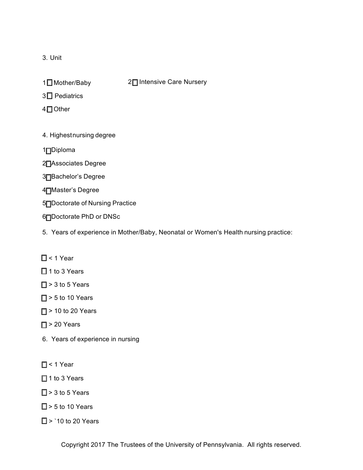3. Unit

1□ Mother/Baby

2□ Intensive Care Nursery

3□ Pediatrics

4□ Other

4. Highestnursing degree

1<sup>Diploma</sup>

2<sup></sup> Associates Degree

3<sup>1</sup>Bachelor's Degree

4<sup>T</sup>Master's Degree

5<sup>1</sup>Doctorate of Nursing Practice

6 Doctorate PhD or DNSc

5. Years of experience in Mother/Baby, Neonatal or Women's Health nursing practice:

 $\Box$  < 1 Year

 $\Box$  1 to 3 Years

- $\Box$  > 3 to 5 Years
- $\Box$  > 5 to 10 Years
- $\Box$  > 10 to 20 Years
- $\Box$  > 20 Years
- 6. Years of experience in nursing
- $\Box$  < 1 Year
- $\Box$  1 to 3 Years
- $\Box$  > 3 to 5 Years
- $\Box$  > 5 to 10 Years

 $\Box$  > `10 to 20 Years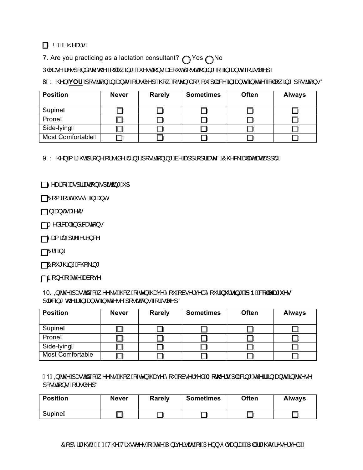## IA NÁGEÁY^æl•Á

7. Are you practicing as a lactation consultant?  $\bigcirc$  Yes  $\bigcirc$  No  $\hat{U}$ |^æ^^Á^•][}åÁ $\hat{A}$  Á@^Á[||[, $\hat{a} * \hat{A} *$ ^^ea[}^^&al[\*o^4[|•ãa[} $\hat{a} * \hat{A} * \hat{A} * \hat{A} * \hat{A} * \hat{A} * \hat{A} * \hat{A} * \hat{A} * \hat{A} * \hat{A} * \hat{A} * \hat{A} * \hat{A} * \hat{A} * \hat{A} * \hat{A} * \hat{A} * \hat{A} * \hat{A} * \hat{A} * \hat{A} * \hat{A} * \hat{A} * \hat$ 

8 È Y @ }<mark>ÁYOU Á [ •ãã]}Á§ -æ}o Á {¦Á |^^] É @ , Á, -e^}Ás[Á [ ˇ Á |æ&^Á§ -æ}o Á§ Áo @ Á | || , ã \* ] [ •ãã} •Ñ</mark>

| <b>Position</b>   | <b>Never</b> | <b>Rarely</b> | <b>Sometimes</b> | <b>Often</b> | <b>Always</b> |
|-------------------|--------------|---------------|------------------|--------------|---------------|
| SupineA           |              |               |                  |              |               |
| ProneÁ            |              |               |                  |              |               |
| Side-lyingA       |              |               |                  |              |               |
| Most ComfortableA |              |               |                  |              |               |

 $9. Y @\}$  Å  $3 @A||\}^A$  : Á sâ $\wedge$ Ë  $3 * A$  [ $\bullet$ ã $A$ ]  $3 * A$ à $\wedge$ á $\bullet$ ]  $||\$  aæ $\wedge$ ÑÔ @ & Á aqlá $\circ$ æ $A$ a]  $||\triangle$ 

 $\Box$ DVas $A$  - Asseg al Saeca  $\rightarrow$  B and  $\rightarrow$  A  $\rightarrow$ 

 $\Box$ DI{  $\Box$ I $\oplus$   $\cdots$   $\AA$   $\oplus$   $\circ$ 

<u>j</u>∯Quana}oÁæ∿c°

<mark>i HT</mark>^åã&æ4Á§åå&æaã[}●

 $\int_{0}^{1}$  $\int_{0}^{1}$  $\int_{0}^{1}$  $\int_{0}^{1}$  $\int_{0}^{1}$  $\int_{0}^{1}$  $\int_{0}^{1}$  $\int_{0}^{1}$  $\int_{0}^{1}$  $\int_{0}^{1}$  $\int_{0}^{1}$ 

 $\hat{H}^2$  $\hat{G}$ 

 $\int^{H} \hat{D}$ [ \* \* @ \* \* \* & @ \  $\hat{a}$  \*

 $1\rightarrow R$  And  $\mathcal{A}$  And  $\mathcal{A}$ 

10. QA@A æds [A ^^\•ÊQ , A ~c^}A@qc^A['A à•^¦ç^åA['|A '|• a \*AQUDD&Q ||^æt '^•  $\int |\partial \mathbf{S} \partial \mathbf{S}|^* \, \partial \mathbf{S} \, \partial \mathbf{S} \, \partial \mathbf{S} \, \partial \mathbf{S} \, \partial \mathbf{S} \, \partial \mathbf{S} \, \partial \mathbf{S} \, \partial \mathbf{S} \, \partial \mathbf{S} \, \partial \mathbf{S} \, \partial \mathbf{S} \, \partial \mathbf{S} \, \partial \mathbf{S} \, \partial \mathbf{S} \, \partial \mathbf{S} \, \partial \mathbf{S} \, \partial \mathbf{S} \, \partial \mathbf{S} \, \partial \mathbf{S} \, \partial \mathbf{S}$ 

| <b>Position</b>         | <b>Never</b> | <b>Rarely</b> | <b>Sometimes</b> | <b>Often</b> | <b>Always</b> |
|-------------------------|--------------|---------------|------------------|--------------|---------------|
| SupineA                 |              |               |                  |              |               |
| ProneÁ                  |              |               |                  |              |               |
| Side-lyingA             |              |               |                  |              |               |
| <b>Most Comfortable</b> |              |               |                  |              |               |

 $1 -$ F1 EQ Ác $\mathcal{O}$ Á $\mathcal{A}$ æ $\alpha$ g [Á $\Lambda$   $\wedge$  |  $\cdot$   $\mathbb{E}$ Q  $\alpha$  | Ác $\alpha$ y Á $\alpha$  / Ác $\alpha$ y Ác $\alpha$  / Ác $\alpha$  / Ác $\alpha$  / Ác $\alpha$  / Ác $\alpha$  / Ác $\alpha$  / Ác $\alpha$  / Ác $\alpha$  / Ác $\alpha$  / Ác $\alpha$  / Ác $\alpha$  / Ác $\alpha$  / Ác $\alpha$  / Ác $\alpha$   $\int [\cdot \tilde{a}\tilde{a}]\cdot \mathsf{A}$   $\mathsf{A}$   $\mathsf{A}$   $\mathsf{A}$   $\mathsf{A}$   $\mathsf{A}$ 

| <b>Position</b> | <b>Never</b> | <b>Rarely</b> | <b>Sometimes</b> | <b>Often</b> | <b>Always</b> |
|-----------------|--------------|---------------|------------------|--------------|---------------|
| SupineA         |              |               |                  |              |               |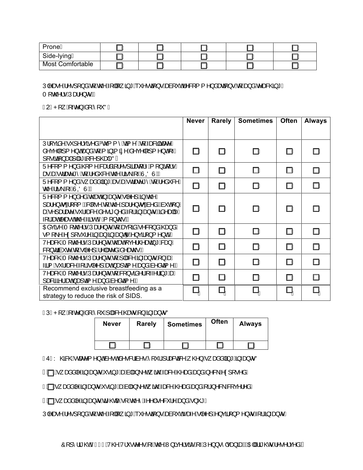| ProneA                  |  |  | . . |
|-------------------------|--|--|-----|
| Side-lyingA             |  |  | . . |
| <b>Most Comfortable</b> |  |  | ш   |

 $\bigcup \wedge \mathcal{B} \circ \wedge A \wedge \bullet$ ] [} å $\bigwedge A$   $\bigwedge \mathcal{B} \circ \bigwedge A$   $\bigwedge \bullet$   $\bigwedge \bullet$   $\bigwedge \bullet$   $\bigwedge \bullet$   $\bigwedge \bullet$   $\bigwedge \bullet$   $\bigwedge \bullet$   $\bigwedge \bullet$   $\bigwedge \bullet$   $\bigwedge \bullet$   $\bigwedge \bullet$   $\bigwedge \bullet$   $\bigwedge \bullet$   $\bigwedge \bullet$   $\bigwedge \bullet$   $\bigwedge \bullet$   $\bigwedge \bullet$   $\bigwedge \bullet$  T[c@∿¦∙ĐÚæ¦^}o•ÁÁ

 $F2$ ÈP[ $\hat{A} \cdot \hat{e}$ <sup>3</sup>} Áå[Á[ˇÑK

|                                                                                                                                                                                                                                                                                                                                                                                                                                    | <b>Never</b>   | Rarely | <b>Sometimes</b> | <b>Often</b> | <b>Always</b> |
|------------------------------------------------------------------------------------------------------------------------------------------------------------------------------------------------------------------------------------------------------------------------------------------------------------------------------------------------------------------------------------------------------------------------------------|----------------|--------|------------------|--------------|---------------|
|                                                                                                                                                                                                                                                                                                                                                                                                                                    |                |        |                  |              |               |
| $U$ ¦[çã $\wedge$ Á `] ^¦çã ^ åÁko {{ ^Áqã{ ^ +Áq{Áæ&ã¦ãæe^Á                                                                                                                                                                                                                                                                                                                                                                       |                |        |                  |              |               |
| å^ç^ []{^}o\$e}åÁq{Á{ ã}ã{ ã^Áå^ç^ []{^}oÁ{→Á<br>][ •ãã[}æ]A æ*ã[&^]@æ ^ÑA                                                                                                                                                                                                                                                                                                                                                         | ШÁ             | ШÁ     | ШÁ               | ШÁ           | ПÁ            |
| Ü^&[{{^}åÁ@[{^Á&æåã[¦^●]ãæe[¦^Á[}ãq[¦•Á                                                                                                                                                                                                                                                                                                                                                                                            |                |        |                  |              |               |
| ær ÁæÁndær^*^Án[Á∧å~&∧Án@∧Áãn\Ái~ÁÙOÖÙÈÁ                                                                                                                                                                                                                                                                                                                                                                                           | ШÁ             | ШÁ     | ПÁ               | ШÁ           | ПÁ            |
| U^&[{{^}åÁ} azåå ã} * Áær Áær dær^*^ Á {{A^å ~&^Á <br>œAã∖Ái AU@ÙÉA                                                                                                                                                                                                                                                                                                                                                                | ШÁ             | ПÁ     | ПÁ               | ПÁ           | ПÁ            |
| $U^{\wedge}8J \{ \{ \wedge \} \land ^{\wedge} \land ^{\wedge} \bullet \circ ^{\wedge} \bullet \bullet ^{\wedge} \bullet \bullet ^{\wedge} \wedge \}$ / $\bullet$ / $\bullet \circ ^{\wedge}$ / $\bullet$ / $\bullet$ / $\bullet$ / $\bullet$ / $\bullet$ / $\bullet$ / $\bullet$ / $\bullet$ / $\bullet$ / $\bullet$ / $\bullet$ / $\bullet$ / $\bullet$ / $\bullet$ / $\bullet$ / $\bullet$ / $\bullet$ / $\bullet$ / $\bullet$ / |                |        |                  |              |               |
| ]æl^}oroÁl[{ÉÁ& [•^Áq[Ác@^Ájæl^}oroÁà^åÉÁà*oÁj}Á                                                                                                                                                                                                                                                                                                                                                                                   | ШÁ             | ПÁ     | ПÁ               | ПÁ           | ПÁ            |
| æÁ^]ælæ^Á `¦æ&^Ás^•ã}^åÁ{¦Á§ æ}orÉbãn^æ ^Á                                                                                                                                                                                                                                                                                                                                                                                         |                |        |                  |              |               |
| √¦ <i>keek</i> ^æ∙oko@ Áã•okî Á¦ [}o @ EA                                                                                                                                                                                                                                                                                                                                                                                          |                |        |                  |              |               |
| O Báção^ÁT [c@^ ¦● ĐÚælo^}or Áq{Áæç[ãâÁ^& [}åÁ@æ}åÁ<br>•{[\^Á\¢][•`¦^Á§}Á⊕}Á§}-æ}œq^Á\}çã[}{^}dÉÁ\                                                                                                                                                                                                                                                                                                                                 | ПÁ             | ПÁ     | ПÁ               | ПÁ           | ПÁ            |
| VA as @AT [ c@ '. • EU as ^ } or Acceed { c^ ! @ as 3 * As a } A                                                                                                                                                                                                                                                                                                                                                                   | ШÁ             | ШÁ     | ШÁ               |              | ПÁ            |
| &l}dãn č^Ád{Á ^^]Ë^ æz^åÁn∿æ@eĎA                                                                                                                                                                                                                                                                                                                                                                                                   |                |        |                  | ШÁ           |               |
| V^æ&@ÁT[c@^¦●EÚæ}^}orÁd{Á æ&^ÁB-æ}orÁ }ÁæÁ<br>-ã{Á *¦-æ&^Á{¦Á∙ ^^]Áæná,æ}cã{^Áæ}åÁà^åcã{^ÉÀ                                                                                                                                                                                                                                                                                                                                        | ШÁ             | ПÁ     | ШÁ               | ШÁ           | ПÁ            |
| V^æ&@ÁT[c@^¦●EÚæ}^}orÁq{Á&[}●ãå^¦Á{~^¦ã}*ÁæA                                                                                                                                                                                                                                                                                                                                                                                       |                |        |                  |              |               |
| æ&ããN Asseó), æ]cã ∧Áse) åÁsi^åcã ^ÉÁ                                                                                                                                                                                                                                                                                                                                                                                              | ПÁ             | ∐Á     | ШÁ               | ПÁ           |               |
| Recommend exclusive breastfeeding as a                                                                                                                                                                                                                                                                                                                                                                                             | Ц <sub>Á</sub> | Цí     | Ц <sub>Á</sub>   | Цí           |               |
| strategy to reduce the risk of SIDS.                                                                                                                                                                                                                                                                                                                                                                                               |                |        |                  |              |               |

 $F3$ ÈP[ $\hat{A}$  -e^} $\hat{A}$ [ $\hat{A}$ [' $\hat{A}$ |æ& $\hat{A}$ @ee $\hat{A}$ } $\hat{A}$ } $\hat{A}$ = $\hat{A}$ } $\hat{\sigma}$   $\hat{N}$ 

| <b>Never</b> | <b>Rarely</b> | <b>Sometimes</b> | <b>Often</b> | <b>Always</b> |
|--------------|---------------|------------------|--------------|---------------|
|              |               |                  |              |               |

 $FAEY$ @KR@A cane^{ ^} o/a^o o/a^o & aanoo  $A[Y|A]$  axakat $A\otimes A$ , axaa a |a} \* $A\otimes A$  oo  $\tilde{N}$ 

 $F$  $f$  $\Box$  $A$ ,  $x$ aå $\land$  $A$  $\rightarrow$  $g$  o $A \cdot a$ <sub> $\rightarrow$ </sub> $A$  $\rightarrow$  $A$ à $\rightarrow$  $A$  $\rightarrow$  $A$  $\rightarrow$  $A$  $\rightarrow$  $A$  $\rightarrow$  $A$  $\rightarrow$  $A$  $\rightarrow$  $A$  $\rightarrow$  $A$  $\rightarrow$  $A$  $\rightarrow$  $A$  $\rightarrow$  $A$  $\rightarrow$  $A$  $\rightarrow$  $A$  $\rightarrow$  $A$  $\rightarrow$  $A$  $\rightarrow$  $A$  $\rightarrow$  $A$  $\rightarrow$  $A$  $\rightarrow$  $A$  $\rightarrow$  $A$  $\rightarrow$  $A$  $\rightarrow$  $A$  $\rightarrow$  $A$ 

 $G$  $\Box$ k,  $\tilde{D}$ anå $\land$ Á $\tilde{D}$ ango  $\tilde{D}$ o Á $\bullet$ ą̃  $\star$ ÁnaÁ $\alpha$ j $\alpha$ j $\land$ o $\alpha$ ý ã $\alpha$ o $\tilde{D}$ ang $\alpha$ zanáÁna) å $\alpha$ l $\beta$  $\land$ & $\alpha$ k $\alpha$ o $\alpha$ j $\land$ a $\alpha$ 

Hittpoon, annia 10 Ago annia companya Company annia Ago annia Ago annia Ago annia Ago annia Ago annia Ago anni

Ú|^æ^Á^•][}åÁq{Á@^Á[||[ˌã\*Áˇ^•cã[}•Áæà[ˇơÁæ^Á|^^]Á}çã[}{^}orÁ{¦Á§←æ}orÈ